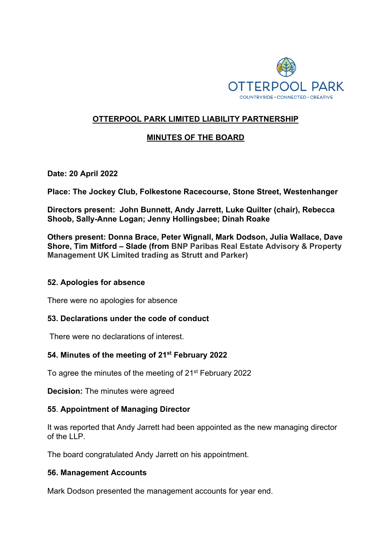

# **OTTERPOOL PARK LIMITED LIABILITY PARTNERSHIP**

# **MINUTES OF THE BOARD**

**Date: 20 April 2022**

**Place: The Jockey Club, Folkestone Racecourse, Stone Street, Westenhanger**

**Directors present: John Bunnett, Andy Jarrett, Luke Quilter (chair), Rebecca Shoob, Sally-Anne Logan; Jenny Hollingsbee; Dinah Roake** 

**Others present: Donna Brace, Peter Wignall, Mark Dodson, Julia Wallace, Dave Shore, Tim Mitford – Slade (from BNP Paribas Real Estate Advisory & Property Management UK Limited trading as Strutt and Parker)**

### **52. Apologies for absence**

There were no apologies for absence

### **53. Declarations under the code of conduct**

There were no declarations of interest.

### **54. Minutes of the meeting of 21st February 2022**

To agree the minutes of the meeting of 21<sup>st</sup> February 2022

**Decision:** The minutes were agreed

### **55**. **Appointment of Managing Director**

It was reported that Andy Jarrett had been appointed as the new managing director of the LLP.

The board congratulated Andy Jarrett on his appointment.

### **56. Management Accounts**

Mark Dodson presented the management accounts for year end.